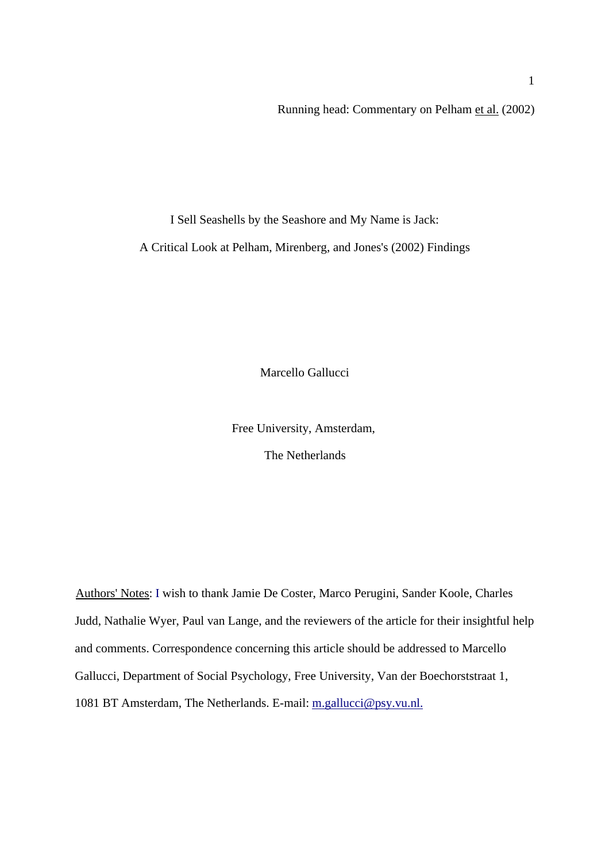Running head: Commentary on Pelham et al. (2002)

I Sell Seashells by the Seashore and My Name is Jack: A Critical Look at Pelham, Mirenberg, and Jones's (2002) Findings

Marcello Gallucci

Free University, Amsterdam,

The Netherlands

Authors' Notes: I wish to thank Jamie De Coster, Marco Perugini, Sander Koole, Charles Judd, Nathalie Wyer, Paul van Lange, and the reviewers of the article for their insightful help and comments. Correspondence concerning this article should be addressed to Marcello Gallucci, Department of Social Psychology, Free University, Van der Boechorststraat 1, 1081 BT Amsterdam, The Netherlands. E-mail: m.gallucci@psy.vu.nl.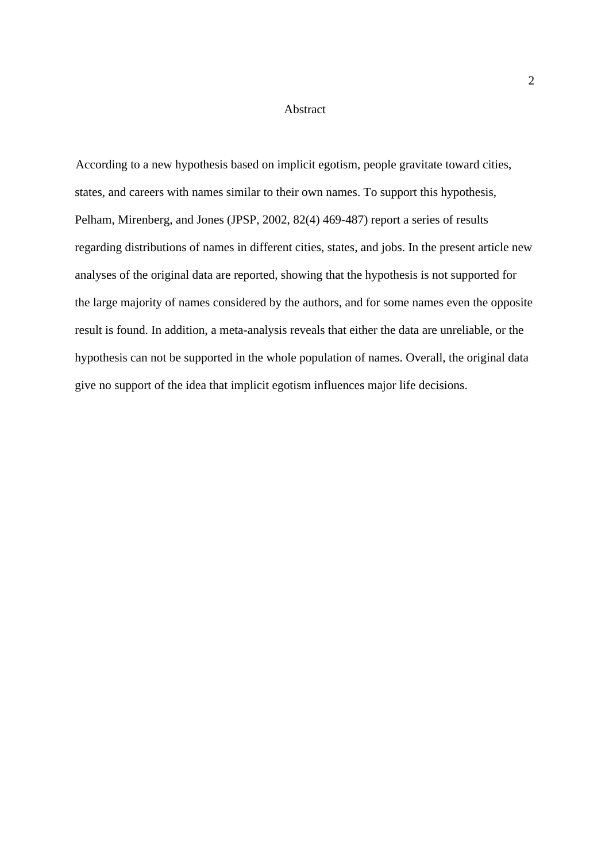#### Abstract

According to a new hypothesis based on implicit egotism, people gravitate toward cities, states, and careers with names similar to their own names. To support this hypothesis, Pelham, Mirenberg, and Jones (JPSP, 2002, 82(4) 469-487) report a series of results regarding distributions of names in different cities, states, and jobs. In the present article new analyses of the original data are reported, showing that the hypothesis is not supported for the large majority of names considered by the authors, and for some names even the opposite result is found. In addition, a meta-analysis reveals that either the data are unreliable, or the hypothesis can not be supported in the whole population of names. Overall, the original data give no support of the idea that implicit egotism influences major life decisions.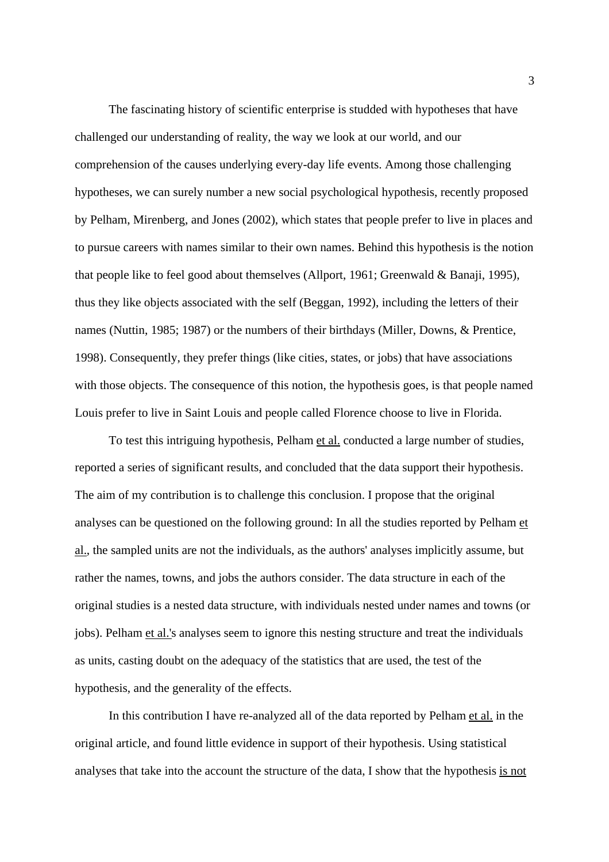The fascinating history of scientific enterprise is studded with hypotheses that have challenged our understanding of reality, the way we look at our world, and our comprehension of the causes underlying every-day life events. Among those challenging hypotheses, we can surely number a new social psychological hypothesis, recently proposed by Pelham, Mirenberg, and Jones (2002), which states that people prefer to live in places and to pursue careers with names similar to their own names. Behind this hypothesis is the notion that people like to feel good about themselves (Allport, 1961; Greenwald & Banaji, 1995), thus they like objects associated with the self (Beggan, 1992), including the letters of their names (Nuttin, 1985; 1987) or the numbers of their birthdays (Miller, Downs, & Prentice, 1998). Consequently, they prefer things (like cities, states, or jobs) that have associations with those objects. The consequence of this notion, the hypothesis goes, is that people named Louis prefer to live in Saint Louis and people called Florence choose to live in Florida.

To test this intriguing hypothesis, Pelham et al. conducted a large number of studies, reported a series of significant results, and concluded that the data support their hypothesis. The aim of my contribution is to challenge this conclusion. I propose that the original analyses can be questioned on the following ground: In all the studies reported by Pelham et al., the sampled units are not the individuals, as the authors' analyses implicitly assume, but rather the names, towns, and jobs the authors consider. The data structure in each of the original studies is a nested data structure, with individuals nested under names and towns (or jobs). Pelham et al.'s analyses seem to ignore this nesting structure and treat the individuals as units, casting doubt on the adequacy of the statistics that are used, the test of the hypothesis, and the generality of the effects.

In this contribution I have re-analyzed all of the data reported by Pelham et al. in the original article, and found little evidence in support of their hypothesis. Using statistical analyses that take into the account the structure of the data, I show that the hypothesis is not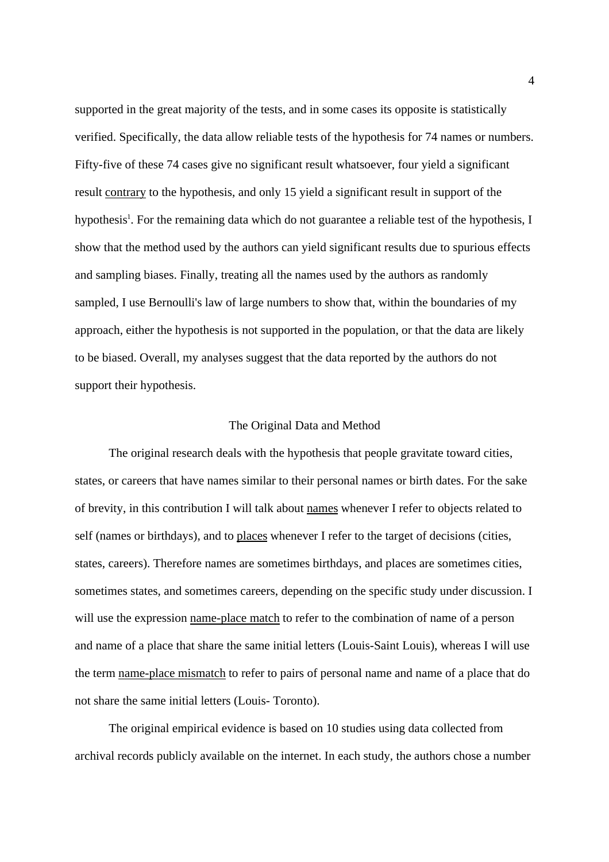supported in the great majority of the tests, and in some cases its opposite is statistically verified. Specifically, the data allow reliable tests of the hypothesis for 74 names or numbers. Fifty-five of these 74 cases give no significant result whatsoever, four yield a significant result contrary to the hypothesis, and only 15 yield a significant result in support of the hypothesis<sup>1</sup>. For the remaining data which do not guarantee a reliable test of the hypothesis, I show that the method used by the authors can yield significant results due to spurious effects and sampling biases. Finally, treating all the names used by the authors as randomly sampled, I use Bernoulli's law of large numbers to show that, within the boundaries of my approach, either the hypothesis is not supported in the population, or that the data are likely to be biased. Overall, my analyses suggest that the data reported by the authors do not support their hypothesis.

#### The Original Data and Method

The original research deals with the hypothesis that people gravitate toward cities, states, or careers that have names similar to their personal names or birth dates. For the sake of brevity, in this contribution I will talk about names whenever I refer to objects related to self (names or birthdays), and to places whenever I refer to the target of decisions (cities, states, careers). Therefore names are sometimes birthdays, and places are sometimes cities, sometimes states, and sometimes careers, depending on the specific study under discussion. I will use the expression name-place match to refer to the combination of name of a person and name of a place that share the same initial letters (Louis-Saint Louis), whereas I will use the term name-place mismatch to refer to pairs of personal name and name of a place that do not share the same initial letters (Louis- Toronto).

The original empirical evidence is based on 10 studies using data collected from archival records publicly available on the internet. In each study, the authors chose a number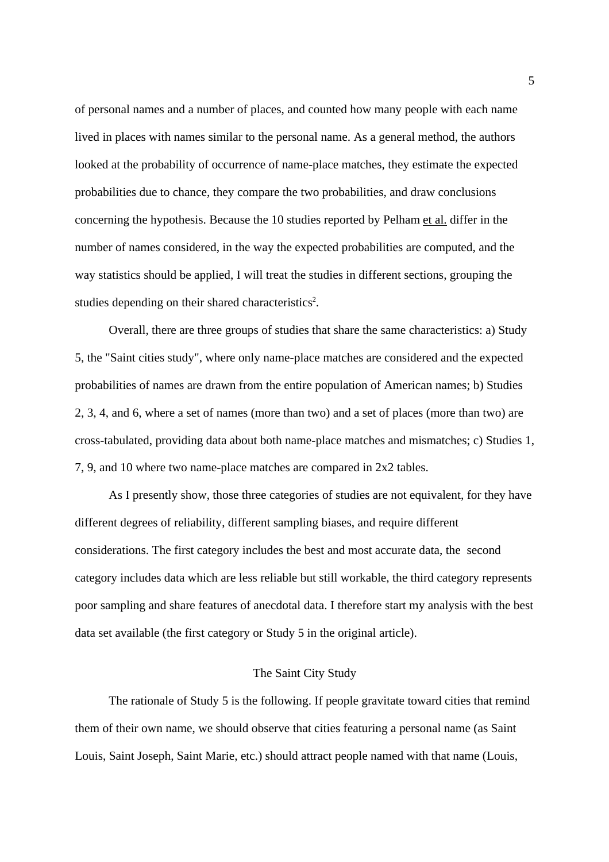of personal names and a number of places, and counted how many people with each name lived in places with names similar to the personal name. As a general method, the authors looked at the probability of occurrence of name-place matches, they estimate the expected probabilities due to chance, they compare the two probabilities, and draw conclusions concerning the hypothesis. Because the 10 studies reported by Pelham et al. differ in the number of names considered, in the way the expected probabilities are computed, and the way statistics should be applied, I will treat the studies in different sections, grouping the studies depending on their shared characteristics<sup>2</sup>.

Overall, there are three groups of studies that share the same characteristics: a) Study 5, the "Saint cities study", where only name-place matches are considered and the expected probabilities of names are drawn from the entire population of American names; b) Studies 2, 3, 4, and 6, where a set of names (more than two) and a set of places (more than two) are cross-tabulated, providing data about both name-place matches and mismatches; c) Studies 1, 7, 9, and 10 where two name-place matches are compared in 2x2 tables.

As I presently show, those three categories of studies are not equivalent, for they have different degrees of reliability, different sampling biases, and require different considerations. The first category includes the best and most accurate data, the second category includes data which are less reliable but still workable, the third category represents poor sampling and share features of anecdotal data. I therefore start my analysis with the best data set available (the first category or Study 5 in the original article).

## The Saint City Study

The rationale of Study 5 is the following. If people gravitate toward cities that remind them of their own name, we should observe that cities featuring a personal name (as Saint Louis, Saint Joseph, Saint Marie, etc.) should attract people named with that name (Louis,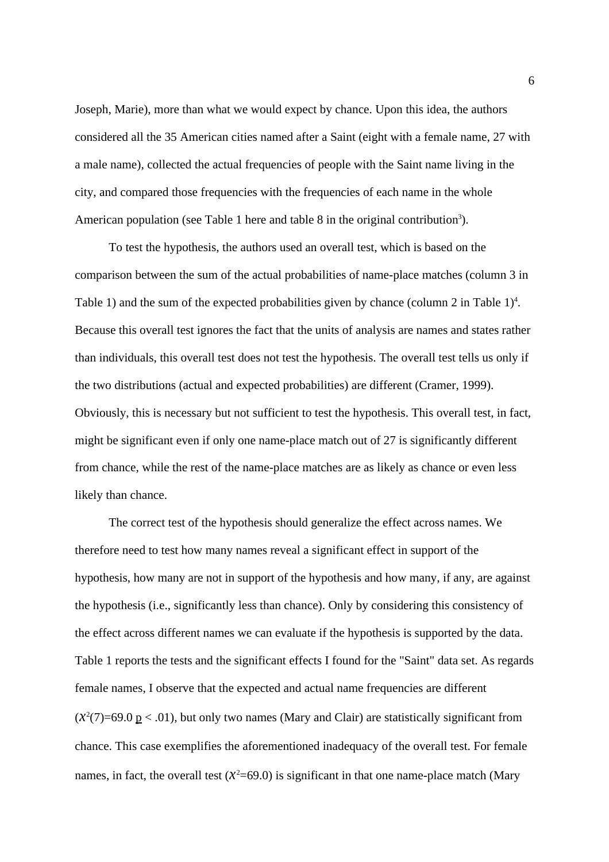Joseph, Marie), more than what we would expect by chance. Upon this idea, the authors considered all the 35 American cities named after a Saint (eight with a female name, 27 with a male name), collected the actual frequencies of people with the Saint name living in the city, and compared those frequencies with the frequencies of each name in the whole American population (see Table 1 here and table  $8$  in the original contribution<sup>3</sup>).

To test the hypothesis, the authors used an overall test, which is based on the comparison between the sum of the actual probabilities of name-place matches (column 3 in Table 1) and the sum of the expected probabilities given by chance (column 2 in Table  $1)^4$ . Because this overall test ignores the fact that the units of analysis are names and states rather than individuals, this overall test does not test the hypothesis. The overall test tells us only if the two distributions (actual and expected probabilities) are different (Cramer, 1999). Obviously, this is necessary but not sufficient to test the hypothesis. This overall test, in fact, might be significant even if only one name-place match out of 27 is significantly different from chance, while the rest of the name-place matches are as likely as chance or even less likely than chance.

The correct test of the hypothesis should generalize the effect across names. We therefore need to test how many names reveal a significant effect in support of the hypothesis, how many are not in support of the hypothesis and how many, if any, are against the hypothesis (i.e., significantly less than chance). Only by considering this consistency of the effect across different names we can evaluate if the hypothesis is supported by the data. Table 1 reports the tests and the significant effects I found for the "Saint" data set. As regards female names, I observe that the expected and actual name frequencies are different  $(X<sup>2</sup>(7)=69.0 \text{ p} < .01)$ , but only two names (Mary and Clair) are statistically significant from chance. This case exemplifies the aforementioned inadequacy of the overall test. For female names, in fact, the overall test ( $\chi^2$ =69.0) is significant in that one name-place match (Mary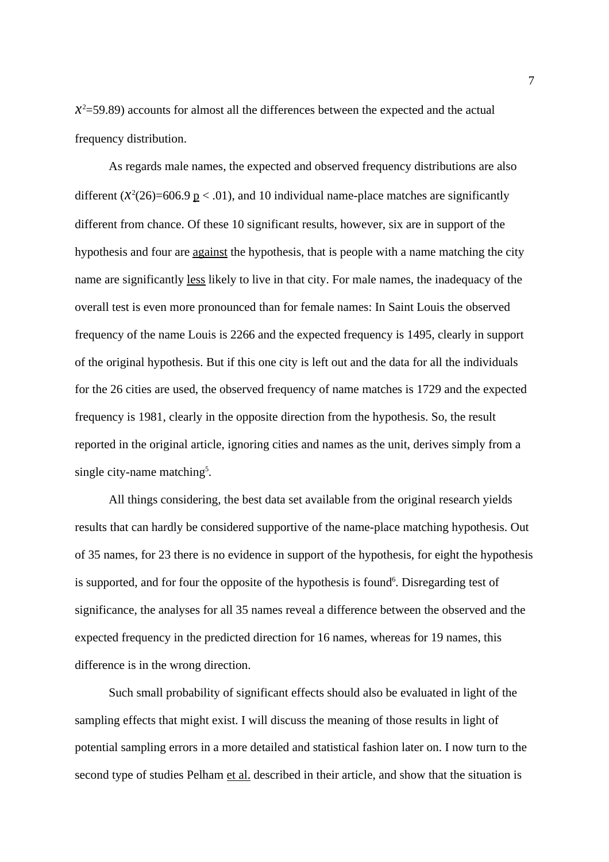$\chi^2$ =59.89) accounts for almost all the differences between the expected and the actual frequency distribution.

As regards male names, the expected and observed frequency distributions are also different  $(X^2(26)=606.9 \text{ p} < .01)$ , and 10 individual name-place matches are significantly different from chance. Of these 10 significant results, however, six are in support of the hypothesis and four are against the hypothesis, that is people with a name matching the city name are significantly less likely to live in that city. For male names, the inadequacy of the overall test is even more pronounced than for female names: In Saint Louis the observed frequency of the name Louis is 2266 and the expected frequency is 1495, clearly in support of the original hypothesis. But if this one city is left out and the data for all the individuals for the 26 cities are used, the observed frequency of name matches is 1729 and the expected frequency is 1981, clearly in the opposite direction from the hypothesis. So, the result reported in the original article, ignoring cities and names as the unit, derives simply from a single city-name matching<sup>5</sup>.

All things considering, the best data set available from the original research yields results that can hardly be considered supportive of the name-place matching hypothesis. Out of 35 names, for 23 there is no evidence in support of the hypothesis, for eight the hypothesis is supported, and for four the opposite of the hypothesis is found<sup>6</sup>. Disregarding test of significance, the analyses for all 35 names reveal a difference between the observed and the expected frequency in the predicted direction for 16 names, whereas for 19 names, this difference is in the wrong direction.

Such small probability of significant effects should also be evaluated in light of the sampling effects that might exist. I will discuss the meaning of those results in light of potential sampling errors in a more detailed and statistical fashion later on. I now turn to the second type of studies Pelham et al. described in their article, and show that the situation is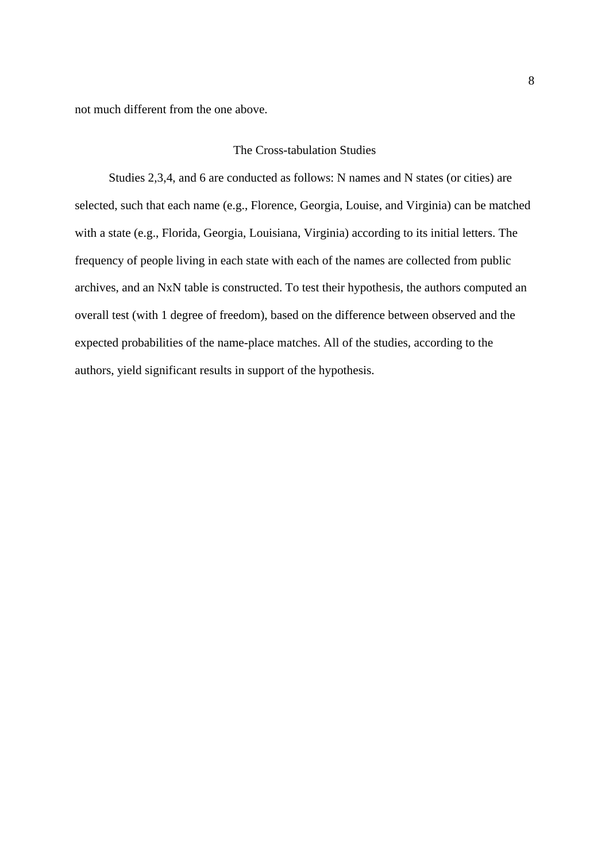not much different from the one above.

## The Cross-tabulation Studies

Studies 2,3,4, and 6 are conducted as follows: N names and N states (or cities) are selected, such that each name (e.g., Florence, Georgia, Louise, and Virginia) can be matched with a state (e.g., Florida, Georgia, Louisiana, Virginia) according to its initial letters. The frequency of people living in each state with each of the names are collected from public archives, and an NxN table is constructed. To test their hypothesis, the authors computed an overall test (with 1 degree of freedom), based on the difference between observed and the expected probabilities of the name-place matches. All of the studies, according to the authors, yield significant results in support of the hypothesis.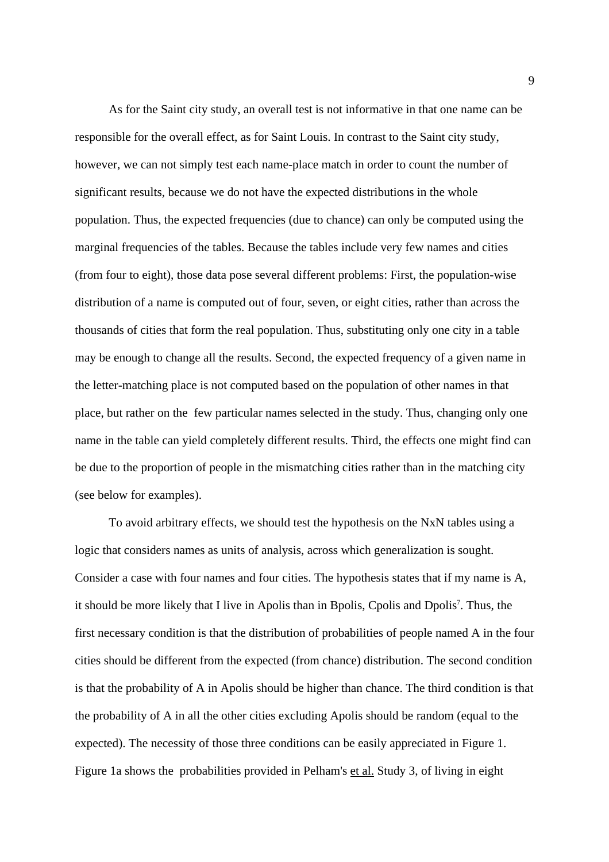As for the Saint city study, an overall test is not informative in that one name can be responsible for the overall effect, as for Saint Louis. In contrast to the Saint city study, however, we can not simply test each name-place match in order to count the number of significant results, because we do not have the expected distributions in the whole population. Thus, the expected frequencies (due to chance) can only be computed using the marginal frequencies of the tables. Because the tables include very few names and cities (from four to eight), those data pose several different problems: First, the population-wise distribution of a name is computed out of four, seven, or eight cities, rather than across the thousands of cities that form the real population. Thus, substituting only one city in a table may be enough to change all the results. Second, the expected frequency of a given name in the letter-matching place is not computed based on the population of other names in that place, but rather on the few particular names selected in the study. Thus, changing only one name in the table can yield completely different results. Third, the effects one might find can be due to the proportion of people in the mismatching cities rather than in the matching city (see below for examples).

To avoid arbitrary effects, we should test the hypothesis on the NxN tables using a logic that considers names as units of analysis, across which generalization is sought. Consider a case with four names and four cities. The hypothesis states that if my name is A, it should be more likely that I live in Apolis than in Bpolis, Cpolis and Dpolis<sup>7</sup>. Thus, the first necessary condition is that the distribution of probabilities of people named A in the four cities should be different from the expected (from chance) distribution. The second condition is that the probability of A in Apolis should be higher than chance. The third condition is that the probability of A in all the other cities excluding Apolis should be random (equal to the expected). The necessity of those three conditions can be easily appreciated in Figure 1. Figure 1a shows the probabilities provided in Pelham's et al. Study 3, of living in eight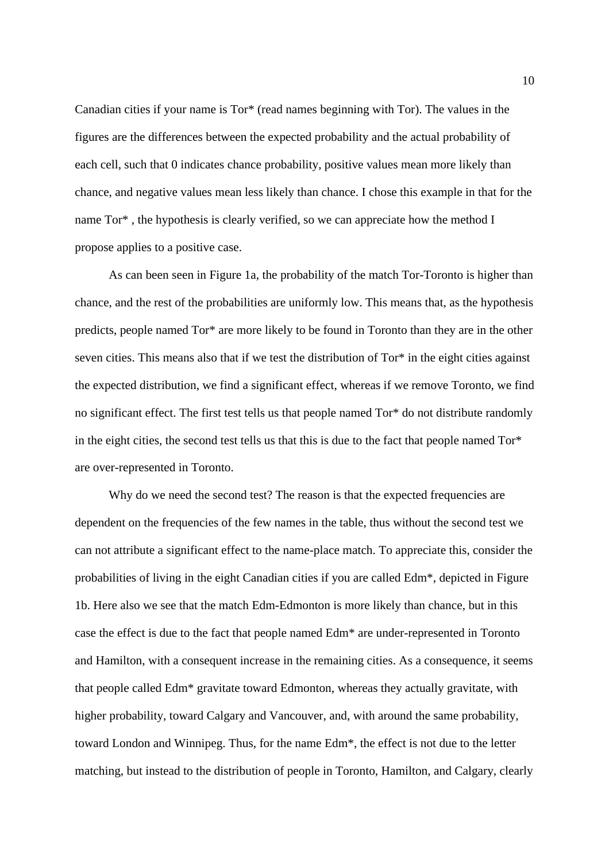Canadian cities if your name is Tor\* (read names beginning with Tor). The values in the figures are the differences between the expected probability and the actual probability of each cell, such that 0 indicates chance probability, positive values mean more likely than chance, and negative values mean less likely than chance. I chose this example in that for the name Tor\* , the hypothesis is clearly verified, so we can appreciate how the method I propose applies to a positive case.

As can been seen in Figure 1a, the probability of the match Tor-Toronto is higher than chance, and the rest of the probabilities are uniformly low. This means that, as the hypothesis predicts, people named Tor\* are more likely to be found in Toronto than they are in the other seven cities. This means also that if we test the distribution of Tor\* in the eight cities against the expected distribution, we find a significant effect, whereas if we remove Toronto, we find no significant effect. The first test tells us that people named Tor\* do not distribute randomly in the eight cities, the second test tells us that this is due to the fact that people named Tor\* are over-represented in Toronto.

Why do we need the second test? The reason is that the expected frequencies are dependent on the frequencies of the few names in the table, thus without the second test we can not attribute a significant effect to the name-place match. To appreciate this, consider the probabilities of living in the eight Canadian cities if you are called Edm\*, depicted in Figure 1b. Here also we see that the match Edm-Edmonton is more likely than chance, but in this case the effect is due to the fact that people named Edm\* are under-represented in Toronto and Hamilton, with a consequent increase in the remaining cities. As a consequence, it seems that people called Edm\* gravitate toward Edmonton, whereas they actually gravitate, with higher probability, toward Calgary and Vancouver, and, with around the same probability, toward London and Winnipeg. Thus, for the name Edm\*, the effect is not due to the letter matching, but instead to the distribution of people in Toronto, Hamilton, and Calgary, clearly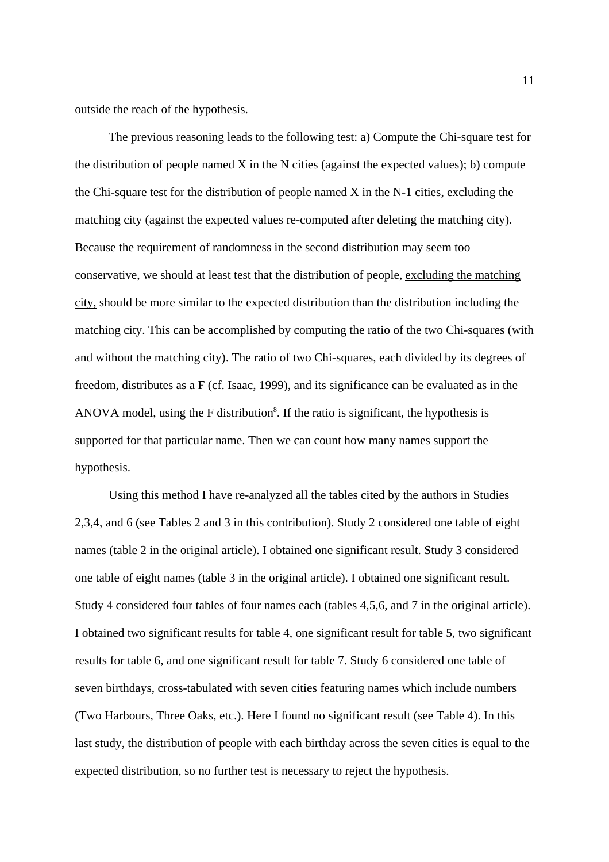outside the reach of the hypothesis.

The previous reasoning leads to the following test: a) Compute the Chi-square test for the distribution of people named  $X$  in the N cities (against the expected values); b) compute the Chi-square test for the distribution of people named  $X$  in the N-1 cities, excluding the matching city (against the expected values re-computed after deleting the matching city). Because the requirement of randomness in the second distribution may seem too conservative, we should at least test that the distribution of people, excluding the matching city, should be more similar to the expected distribution than the distribution including the matching city. This can be accomplished by computing the ratio of the two Chi-squares (with and without the matching city). The ratio of two Chi-squares, each divided by its degrees of freedom, distributes as a F (cf. Isaac, 1999), and its significance can be evaluated as in the ANOVA model, using the  $F$  distribution<sup>8</sup>. If the ratio is significant, the hypothesis is supported for that particular name. Then we can count how many names support the hypothesis.

Using this method I have re-analyzed all the tables cited by the authors in Studies 2,3,4, and 6 (see Tables 2 and 3 in this contribution). Study 2 considered one table of eight names (table 2 in the original article). I obtained one significant result. Study 3 considered one table of eight names (table 3 in the original article). I obtained one significant result. Study 4 considered four tables of four names each (tables 4,5,6, and 7 in the original article). I obtained two significant results for table 4, one significant result for table 5, two significant results for table 6, and one significant result for table 7. Study 6 considered one table of seven birthdays, cross-tabulated with seven cities featuring names which include numbers (Two Harbours, Three Oaks, etc.). Here I found no significant result (see Table 4). In this last study, the distribution of people with each birthday across the seven cities is equal to the expected distribution, so no further test is necessary to reject the hypothesis.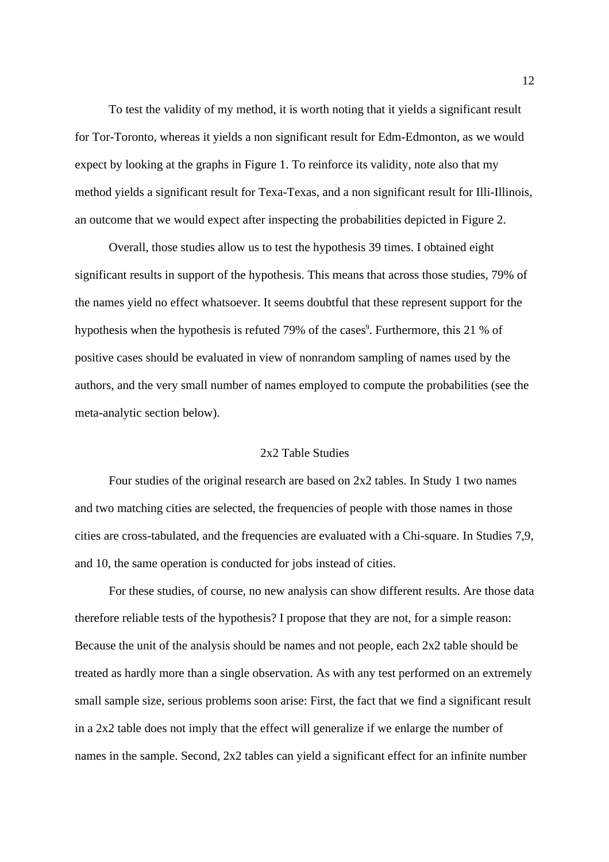To test the validity of my method, it is worth noting that it yields a significant result for Tor-Toronto, whereas it yields a non significant result for Edm-Edmonton, as we would expect by looking at the graphs in Figure 1. To reinforce its validity, note also that my method yields a significant result for Texa-Texas, and a non significant result for Illi-Illinois, an outcome that we would expect after inspecting the probabilities depicted in Figure 2.

Overall, those studies allow us to test the hypothesis 39 times. I obtained eight significant results in support of the hypothesis. This means that across those studies, 79% of the names yield no effect whatsoever. It seems doubtful that these represent support for the hypothesis when the hypothesis is refuted 79% of the cases<sup>9</sup>. Furthermore, this 21 % of positive cases should be evaluated in view of nonrandom sampling of names used by the authors, and the very small number of names employed to compute the probabilities (see the meta-analytic section below).

## 2x2 Table Studies

Four studies of the original research are based on 2x2 tables. In Study 1 two names and two matching cities are selected, the frequencies of people with those names in those cities are cross-tabulated, and the frequencies are evaluated with a Chi-square. In Studies 7,9, and 10, the same operation is conducted for jobs instead of cities.

For these studies, of course, no new analysis can show different results. Are those data therefore reliable tests of the hypothesis? I propose that they are not, for a simple reason: Because the unit of the analysis should be names and not people, each 2x2 table should be treated as hardly more than a single observation. As with any test performed on an extremely small sample size, serious problems soon arise: First, the fact that we find a significant result in a 2x2 table does not imply that the effect will generalize if we enlarge the number of names in the sample. Second, 2x2 tables can yield a significant effect for an infinite number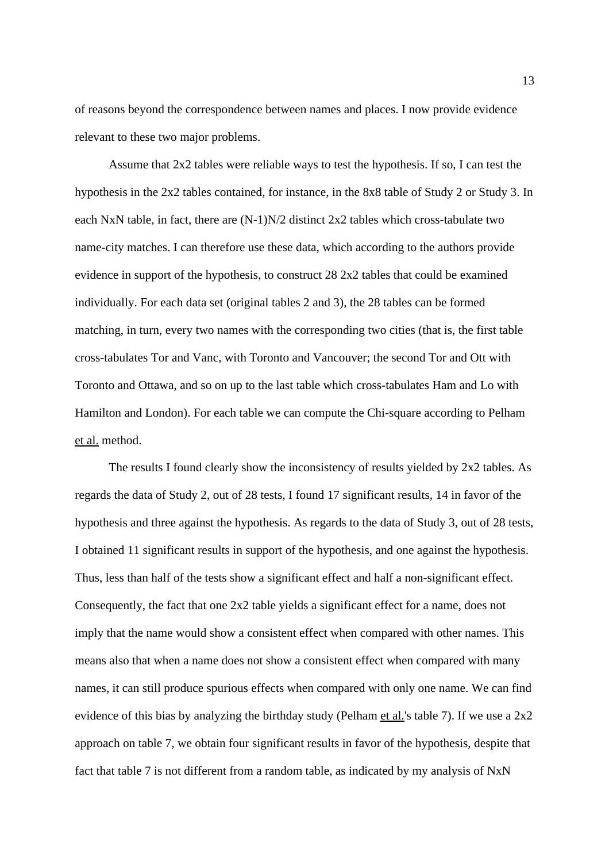of reasons beyond the correspondence between names and places. I now provide evidence relevant to these two major problems.

Assume that 2x2 tables were reliable ways to test the hypothesis. If so, I can test the hypothesis in the 2x2 tables contained, for instance, in the 8x8 table of Study 2 or Study 3. In each NxN table, in fact, there are (N-1)N/2 distinct 2x2 tables which cross-tabulate two name-city matches. I can therefore use these data, which according to the authors provide evidence in support of the hypothesis, to construct 28 2x2 tables that could be examined individually. For each data set (original tables 2 and 3), the 28 tables can be formed matching, in turn, every two names with the corresponding two cities (that is, the first table cross-tabulates Tor and Vanc, with Toronto and Vancouver; the second Tor and Ott with Toronto and Ottawa, and so on up to the last table which cross-tabulates Ham and Lo with Hamilton and London). For each table we can compute the Chi-square according to Pelham et al. method.

The results I found clearly show the inconsistency of results yielded by 2x2 tables. As regards the data of Study 2, out of 28 tests, I found 17 significant results, 14 in favor of the hypothesis and three against the hypothesis. As regards to the data of Study 3, out of 28 tests, I obtained 11 significant results in support of the hypothesis, and one against the hypothesis. Thus, less than half of the tests show a significant effect and half a non-significant effect. Consequently, the fact that one 2x2 table yields a significant effect for a name, does not imply that the name would show a consistent effect when compared with other names. This means also that when a name does not show a consistent effect when compared with many names, it can still produce spurious effects when compared with only one name. We can find evidence of this bias by analyzing the birthday study (Pelham et al.'s table 7). If we use a  $2x2$ approach on table 7, we obtain four significant results in favor of the hypothesis, despite that fact that table 7 is not different from a random table, as indicated by my analysis of NxN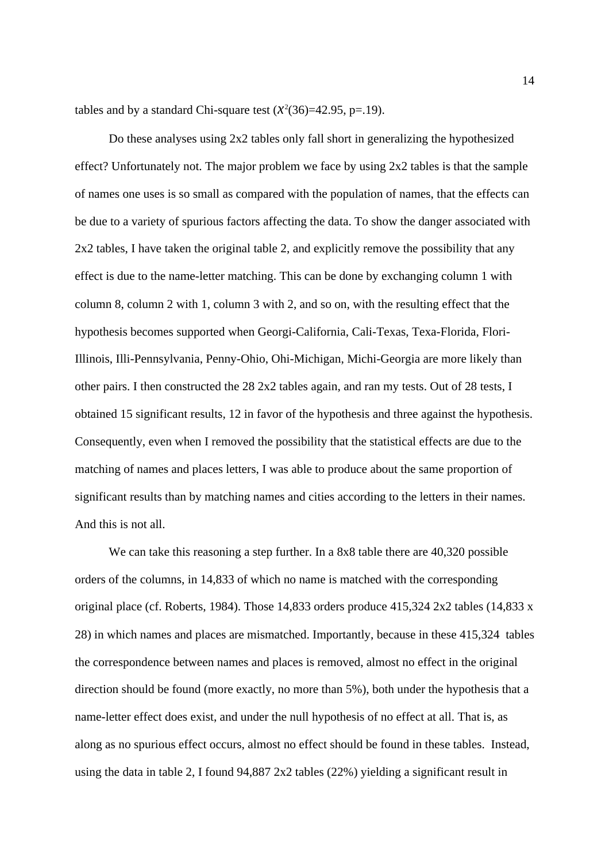tables and by a standard Chi-square test  $(\chi^2(36)=42.95, p=.19)$ .

Do these analyses using 2x2 tables only fall short in generalizing the hypothesized effect? Unfortunately not. The major problem we face by using 2x2 tables is that the sample of names one uses is so small as compared with the population of names, that the effects can be due to a variety of spurious factors affecting the data. To show the danger associated with 2x2 tables, I have taken the original table 2, and explicitly remove the possibility that any effect is due to the name-letter matching. This can be done by exchanging column 1 with column 8, column 2 with 1, column 3 with 2, and so on, with the resulting effect that the hypothesis becomes supported when Georgi-California, Cali-Texas, Texa-Florida, Flori-Illinois, Illi-Pennsylvania, Penny-Ohio, Ohi-Michigan, Michi-Georgia are more likely than other pairs. I then constructed the 28 2x2 tables again, and ran my tests. Out of 28 tests, I obtained 15 significant results, 12 in favor of the hypothesis and three against the hypothesis. Consequently, even when I removed the possibility that the statistical effects are due to the matching of names and places letters, I was able to produce about the same proportion of significant results than by matching names and cities according to the letters in their names. And this is not all.

We can take this reasoning a step further. In a 8x8 table there are 40,320 possible orders of the columns, in 14,833 of which no name is matched with the corresponding original place (cf. Roberts, 1984). Those 14,833 orders produce 415,324 2x2 tables (14,833 x 28) in which names and places are mismatched. Importantly, because in these 415,324 tables the correspondence between names and places is removed, almost no effect in the original direction should be found (more exactly, no more than 5%), both under the hypothesis that a name-letter effect does exist, and under the null hypothesis of no effect at all. That is, as along as no spurious effect occurs, almost no effect should be found in these tables. Instead, using the data in table 2, I found 94,887 2x2 tables (22%) yielding a significant result in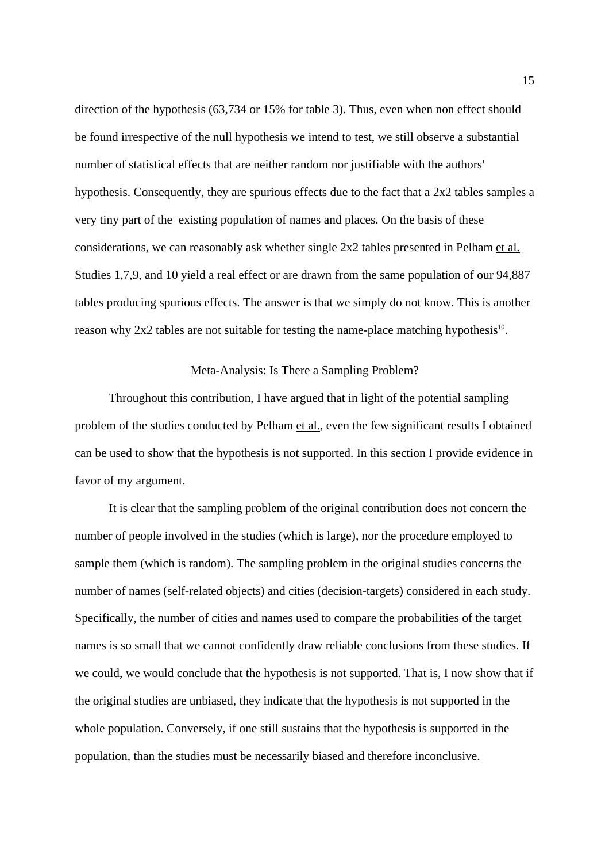direction of the hypothesis (63,734 or 15% for table 3). Thus, even when non effect should be found irrespective of the null hypothesis we intend to test, we still observe a substantial number of statistical effects that are neither random nor justifiable with the authors' hypothesis. Consequently, they are spurious effects due to the fact that a 2x2 tables samples a very tiny part of the existing population of names and places. On the basis of these considerations, we can reasonably ask whether single 2x2 tables presented in Pelham et al. Studies 1,7,9, and 10 yield a real effect or are drawn from the same population of our 94,887 tables producing spurious effects. The answer is that we simply do not know. This is another reason why  $2x2$  tables are not suitable for testing the name-place matching hypothesis<sup>10</sup>.

#### Meta-Analysis: Is There a Sampling Problem?

Throughout this contribution, I have argued that in light of the potential sampling problem of the studies conducted by Pelham et al., even the few significant results I obtained can be used to show that the hypothesis is not supported. In this section I provide evidence in favor of my argument.

It is clear that the sampling problem of the original contribution does not concern the number of people involved in the studies (which is large), nor the procedure employed to sample them (which is random). The sampling problem in the original studies concerns the number of names (self-related objects) and cities (decision-targets) considered in each study. Specifically, the number of cities and names used to compare the probabilities of the target names is so small that we cannot confidently draw reliable conclusions from these studies. If we could, we would conclude that the hypothesis is not supported. That is, I now show that if the original studies are unbiased, they indicate that the hypothesis is not supported in the whole population. Conversely, if one still sustains that the hypothesis is supported in the population, than the studies must be necessarily biased and therefore inconclusive.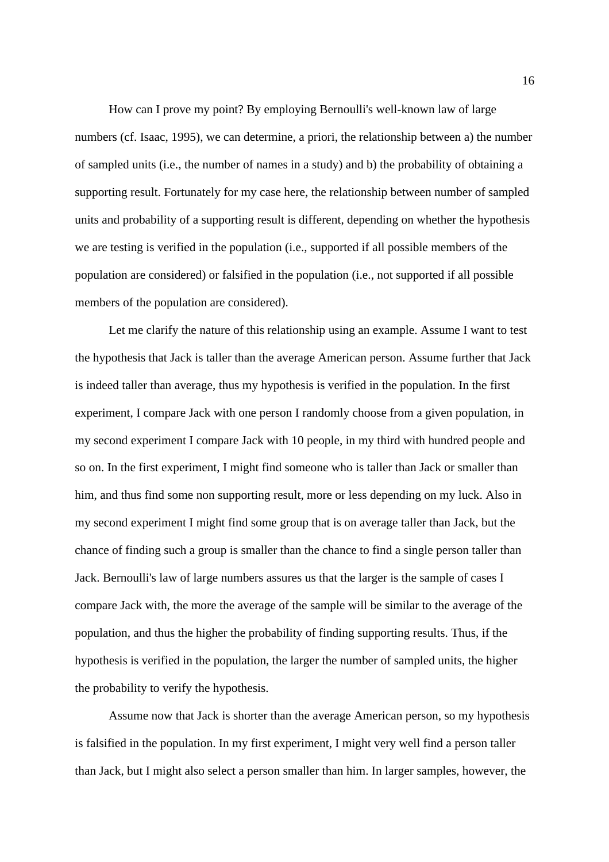How can I prove my point? By employing Bernoulli's well-known law of large numbers (cf. Isaac, 1995), we can determine, a priori, the relationship between a) the number of sampled units (i.e., the number of names in a study) and b) the probability of obtaining a supporting result. Fortunately for my case here, the relationship between number of sampled units and probability of a supporting result is different, depending on whether the hypothesis we are testing is verified in the population (i.e., supported if all possible members of the population are considered) or falsified in the population (i.e., not supported if all possible members of the population are considered).

Let me clarify the nature of this relationship using an example. Assume I want to test the hypothesis that Jack is taller than the average American person. Assume further that Jack is indeed taller than average, thus my hypothesis is verified in the population. In the first experiment, I compare Jack with one person I randomly choose from a given population, in my second experiment I compare Jack with 10 people, in my third with hundred people and so on. In the first experiment, I might find someone who is taller than Jack or smaller than him, and thus find some non supporting result, more or less depending on my luck. Also in my second experiment I might find some group that is on average taller than Jack, but the chance of finding such a group is smaller than the chance to find a single person taller than Jack. Bernoulli's law of large numbers assures us that the larger is the sample of cases I compare Jack with, the more the average of the sample will be similar to the average of the population, and thus the higher the probability of finding supporting results. Thus, if the hypothesis is verified in the population, the larger the number of sampled units, the higher the probability to verify the hypothesis.

Assume now that Jack is shorter than the average American person, so my hypothesis is falsified in the population. In my first experiment, I might very well find a person taller than Jack, but I might also select a person smaller than him. In larger samples, however, the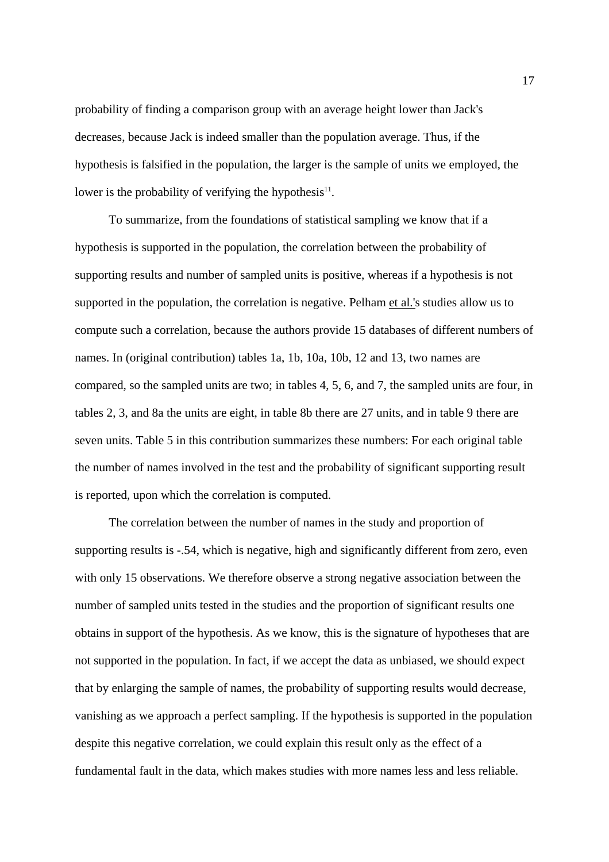probability of finding a comparison group with an average height lower than Jack's decreases, because Jack is indeed smaller than the population average. Thus, if the hypothesis is falsified in the population, the larger is the sample of units we employed, the lower is the probability of verifying the hypothesis $11$ .

To summarize, from the foundations of statistical sampling we know that if a hypothesis is supported in the population, the correlation between the probability of supporting results and number of sampled units is positive, whereas if a hypothesis is not supported in the population, the correlation is negative. Pelham et al.'s studies allow us to compute such a correlation, because the authors provide 15 databases of different numbers of names. In (original contribution) tables 1a, 1b, 10a, 10b, 12 and 13, two names are compared, so the sampled units are two; in tables 4, 5, 6, and 7, the sampled units are four, in tables 2, 3, and 8a the units are eight, in table 8b there are 27 units, and in table 9 there are seven units. Table 5 in this contribution summarizes these numbers: For each original table the number of names involved in the test and the probability of significant supporting result is reported, upon which the correlation is computed.

The correlation between the number of names in the study and proportion of supporting results is -.54, which is negative, high and significantly different from zero, even with only 15 observations. We therefore observe a strong negative association between the number of sampled units tested in the studies and the proportion of significant results one obtains in support of the hypothesis. As we know, this is the signature of hypotheses that are not supported in the population. In fact, if we accept the data as unbiased, we should expect that by enlarging the sample of names, the probability of supporting results would decrease, vanishing as we approach a perfect sampling. If the hypothesis is supported in the population despite this negative correlation, we could explain this result only as the effect of a fundamental fault in the data, which makes studies with more names less and less reliable.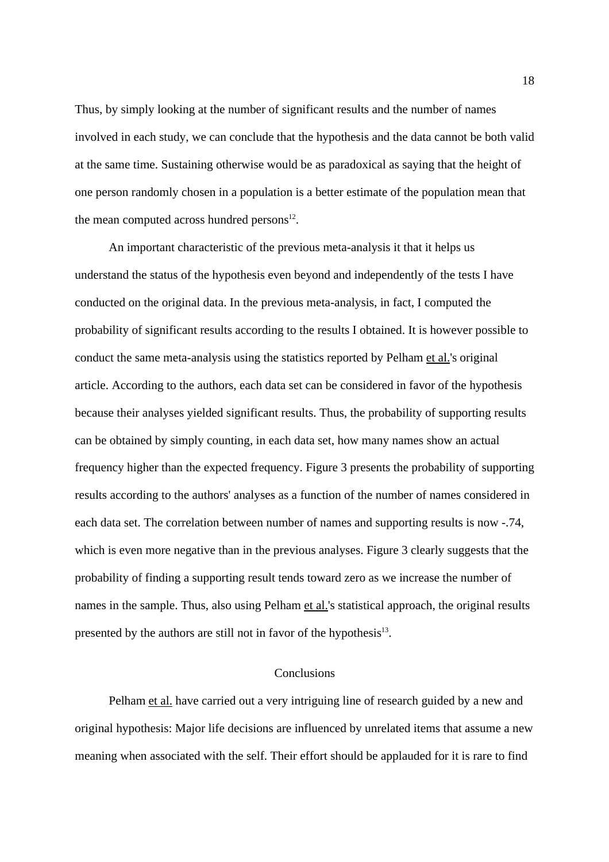Thus, by simply looking at the number of significant results and the number of names involved in each study, we can conclude that the hypothesis and the data cannot be both valid at the same time. Sustaining otherwise would be as paradoxical as saying that the height of one person randomly chosen in a population is a better estimate of the population mean that the mean computed across hundred persons $^{12}$ .

An important characteristic of the previous meta-analysis it that it helps us understand the status of the hypothesis even beyond and independently of the tests I have conducted on the original data. In the previous meta-analysis, in fact, I computed the probability of significant results according to the results I obtained. It is however possible to conduct the same meta-analysis using the statistics reported by Pelham et al.'s original article. According to the authors, each data set can be considered in favor of the hypothesis because their analyses yielded significant results. Thus, the probability of supporting results can be obtained by simply counting, in each data set, how many names show an actual frequency higher than the expected frequency. Figure 3 presents the probability of supporting results according to the authors' analyses as a function of the number of names considered in each data set. The correlation between number of names and supporting results is now -.74, which is even more negative than in the previous analyses. Figure 3 clearly suggests that the probability of finding a supporting result tends toward zero as we increase the number of names in the sample. Thus, also using Pelham et al.'s statistical approach, the original results presented by the authors are still not in favor of the hypothesis<sup>13</sup>.

#### Conclusions

Pelham et al. have carried out a very intriguing line of research guided by a new and original hypothesis: Major life decisions are influenced by unrelated items that assume a new meaning when associated with the self. Their effort should be applauded for it is rare to find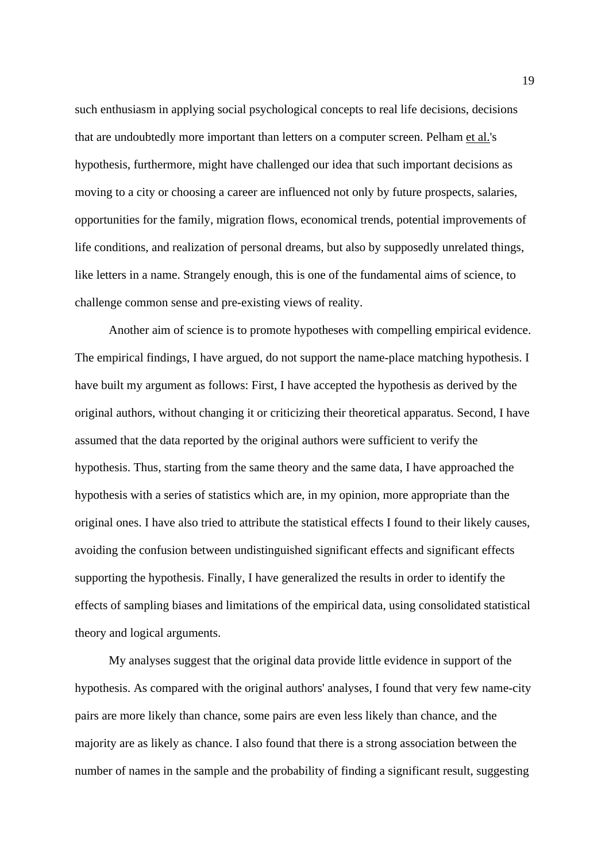such enthusiasm in applying social psychological concepts to real life decisions, decisions that are undoubtedly more important than letters on a computer screen. Pelham et al.'s hypothesis, furthermore, might have challenged our idea that such important decisions as moving to a city or choosing a career are influenced not only by future prospects, salaries, opportunities for the family, migration flows, economical trends, potential improvements of life conditions, and realization of personal dreams, but also by supposedly unrelated things, like letters in a name. Strangely enough, this is one of the fundamental aims of science, to challenge common sense and pre-existing views of reality.

Another aim of science is to promote hypotheses with compelling empirical evidence. The empirical findings, I have argued, do not support the name-place matching hypothesis. I have built my argument as follows: First, I have accepted the hypothesis as derived by the original authors, without changing it or criticizing their theoretical apparatus. Second, I have assumed that the data reported by the original authors were sufficient to verify the hypothesis. Thus, starting from the same theory and the same data, I have approached the hypothesis with a series of statistics which are, in my opinion, more appropriate than the original ones. I have also tried to attribute the statistical effects I found to their likely causes, avoiding the confusion between undistinguished significant effects and significant effects supporting the hypothesis. Finally, I have generalized the results in order to identify the effects of sampling biases and limitations of the empirical data, using consolidated statistical theory and logical arguments.

My analyses suggest that the original data provide little evidence in support of the hypothesis. As compared with the original authors' analyses, I found that very few name-city pairs are more likely than chance, some pairs are even less likely than chance, and the majority are as likely as chance. I also found that there is a strong association between the number of names in the sample and the probability of finding a significant result, suggesting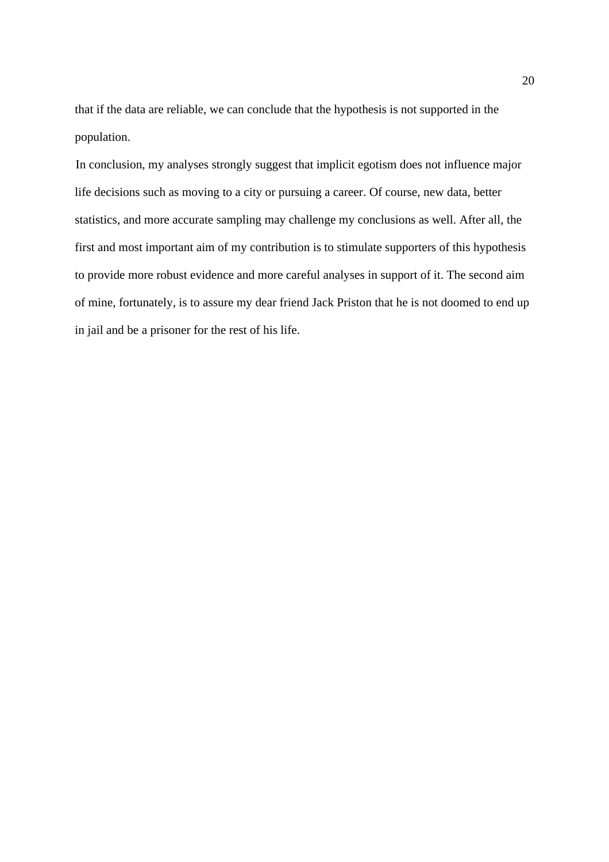that if the data are reliable, we can conclude that the hypothesis is not supported in the population.

In conclusion, my analyses strongly suggest that implicit egotism does not influence major life decisions such as moving to a city or pursuing a career. Of course, new data, better statistics, and more accurate sampling may challenge my conclusions as well. After all, the first and most important aim of my contribution is to stimulate supporters of this hypothesis to provide more robust evidence and more careful analyses in support of it. The second aim of mine, fortunately, is to assure my dear friend Jack Priston that he is not doomed to end up in jail and be a prisoner for the rest of his life.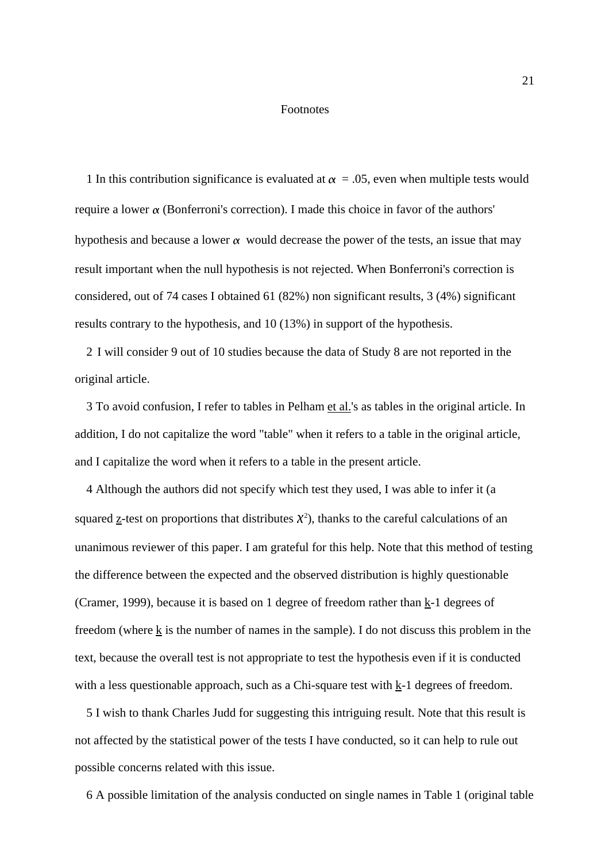#### **Footnotes**

1 In this contribution significance is evaluated at  $\alpha = 0.05$ , even when multiple tests would require a lower  $\alpha$  (Bonferroni's correction). I made this choice in favor of the authors' hypothesis and because a lower  $\alpha$  would decrease the power of the tests, an issue that may result important when the null hypothesis is not rejected. When Bonferroni's correction is considered, out of 74 cases I obtained 61 (82%) non significant results, 3 (4%) significant results contrary to the hypothesis, and 10 (13%) in support of the hypothesis.

2 I will consider 9 out of 10 studies because the data of Study 8 are not reported in the original article.

3 To avoid confusion, I refer to tables in Pelham et al.'s as tables in the original article. In addition, I do not capitalize the word "table" when it refers to a table in the original article, and I capitalize the word when it refers to a table in the present article.

4 Although the authors did not specify which test they used, I was able to infer it (a squared  $\underline{z}$ -test on proportions that distributes  $\chi^2$ ), thanks to the careful calculations of an unanimous reviewer of this paper. I am grateful for this help. Note that this method of testing the difference between the expected and the observed distribution is highly questionable (Cramer, 1999), because it is based on 1 degree of freedom rather than k-1 degrees of freedom (where  $\underline{k}$  is the number of names in the sample). I do not discuss this problem in the text, because the overall test is not appropriate to test the hypothesis even if it is conducted with a less questionable approach, such as a Chi-square test with  $k-1$  degrees of freedom.

5 I wish to thank Charles Judd for suggesting this intriguing result. Note that this result is not affected by the statistical power of the tests I have conducted, so it can help to rule out possible concerns related with this issue.

6 A possible limitation of the analysis conducted on single names in Table 1 (original table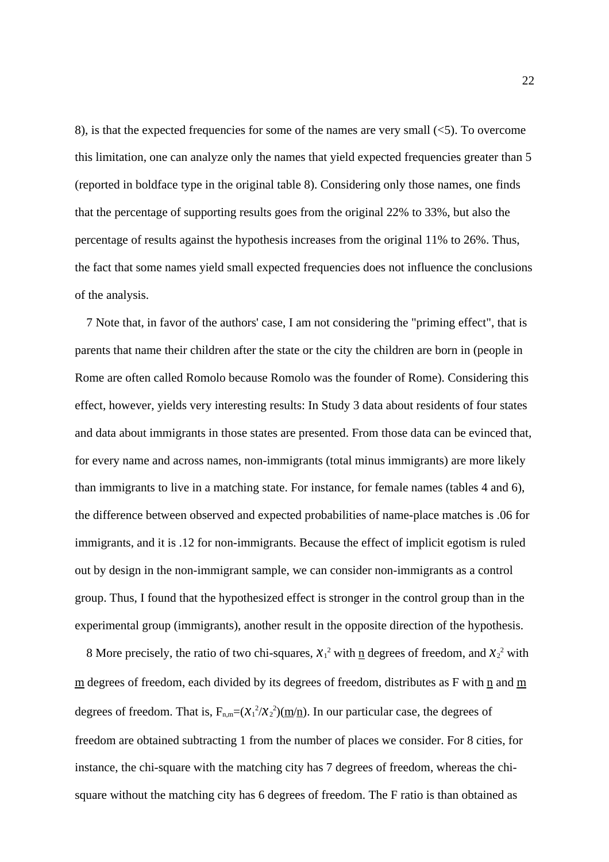8), is that the expected frequencies for some of the names are very small  $(\leq 5)$ . To overcome this limitation, one can analyze only the names that yield expected frequencies greater than 5 (reported in boldface type in the original table 8). Considering only those names, one finds that the percentage of supporting results goes from the original 22% to 33%, but also the percentage of results against the hypothesis increases from the original 11% to 26%. Thus, the fact that some names yield small expected frequencies does not influence the conclusions of the analysis.

7 Note that, in favor of the authors' case, I am not considering the "priming effect", that is parents that name their children after the state or the city the children are born in (people in Rome are often called Romolo because Romolo was the founder of Rome). Considering this effect, however, yields very interesting results: In Study 3 data about residents of four states and data about immigrants in those states are presented. From those data can be evinced that, for every name and across names, non-immigrants (total minus immigrants) are more likely than immigrants to live in a matching state. For instance, for female names (tables 4 and 6), the difference between observed and expected probabilities of name-place matches is .06 for immigrants, and it is .12 for non-immigrants. Because the effect of implicit egotism is ruled out by design in the non-immigrant sample, we can consider non-immigrants as a control group. Thus, I found that the hypothesized effect is stronger in the control group than in the experimental group (immigrants), another result in the opposite direction of the hypothesis.

8 More precisely, the ratio of two chi-squares,  $X_1^2$  with <u>n</u> degrees of freedom, and  $X_2^2$  with m degrees of freedom, each divided by its degrees of freedom, distributes as F with n and m degrees of freedom. That is,  $F_{n,m} = (X_1^2/X_2^2)(m/n)$ . In our particular case, the degrees of freedom are obtained subtracting 1 from the number of places we consider. For 8 cities, for instance, the chi-square with the matching city has 7 degrees of freedom, whereas the chisquare without the matching city has 6 degrees of freedom. The F ratio is than obtained as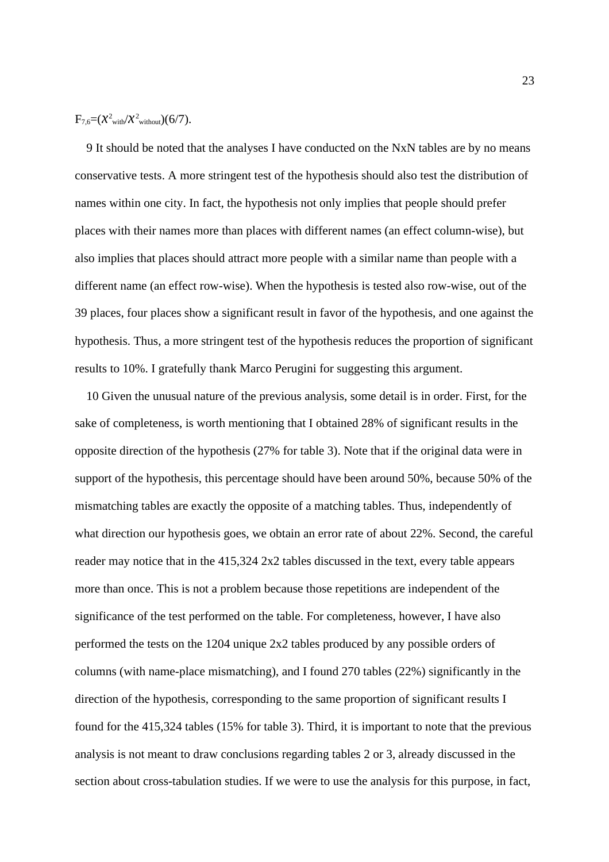## $F_{7,6} = (\chi^2_{\text{ with}}/\chi^2_{\text{ without}})(6/7).$

9 It should be noted that the analyses I have conducted on the NxN tables are by no means conservative tests. A more stringent test of the hypothesis should also test the distribution of names within one city. In fact, the hypothesis not only implies that people should prefer places with their names more than places with different names (an effect column-wise), but also implies that places should attract more people with a similar name than people with a different name (an effect row-wise). When the hypothesis is tested also row-wise, out of the 39 places, four places show a significant result in favor of the hypothesis, and one against the hypothesis. Thus, a more stringent test of the hypothesis reduces the proportion of significant results to 10%. I gratefully thank Marco Perugini for suggesting this argument.

10 Given the unusual nature of the previous analysis, some detail is in order. First, for the sake of completeness, is worth mentioning that I obtained 28% of significant results in the opposite direction of the hypothesis (27% for table 3). Note that if the original data were in support of the hypothesis, this percentage should have been around 50%, because 50% of the mismatching tables are exactly the opposite of a matching tables. Thus, independently of what direction our hypothesis goes, we obtain an error rate of about 22%. Second, the careful reader may notice that in the 415,324 2x2 tables discussed in the text, every table appears more than once. This is not a problem because those repetitions are independent of the significance of the test performed on the table. For completeness, however, I have also performed the tests on the 1204 unique 2x2 tables produced by any possible orders of columns (with name-place mismatching), and I found 270 tables (22%) significantly in the direction of the hypothesis, corresponding to the same proportion of significant results I found for the 415,324 tables (15% for table 3). Third, it is important to note that the previous analysis is not meant to draw conclusions regarding tables 2 or 3, already discussed in the section about cross-tabulation studies. If we were to use the analysis for this purpose, in fact,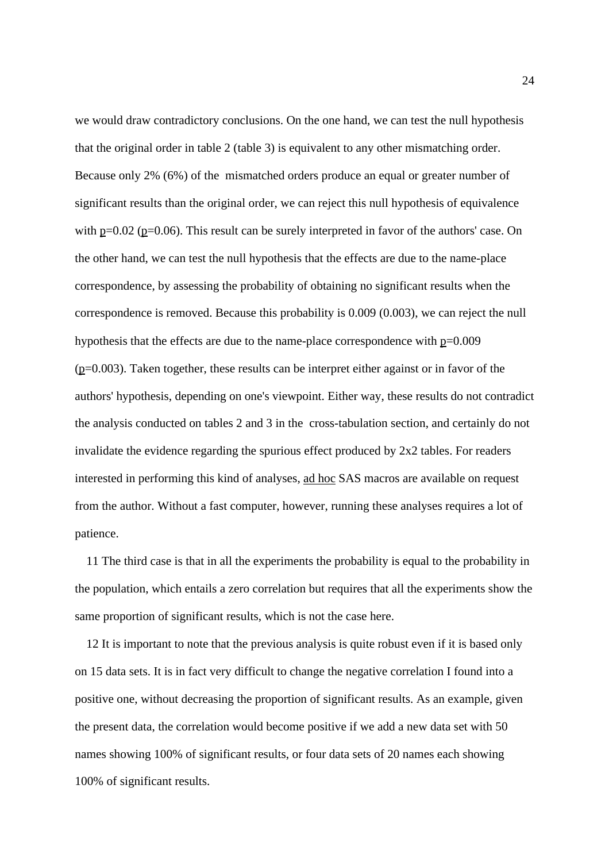we would draw contradictory conclusions. On the one hand, we can test the null hypothesis that the original order in table 2 (table 3) is equivalent to any other mismatching order. Because only 2% (6%) of the mismatched orders produce an equal or greater number of significant results than the original order, we can reject this null hypothesis of equivalence with  $p=0.02$  ( $p=0.06$ ). This result can be surely interpreted in favor of the authors' case. On the other hand, we can test the null hypothesis that the effects are due to the name-place correspondence, by assessing the probability of obtaining no significant results when the correspondence is removed. Because this probability is 0.009 (0.003), we can reject the null hypothesis that the effects are due to the name-place correspondence with  $p=0.009$  $(p=0.003)$ . Taken together, these results can be interpret either against or in favor of the authors' hypothesis, depending on one's viewpoint. Either way, these results do not contradict the analysis conducted on tables 2 and 3 in the cross-tabulation section, and certainly do not invalidate the evidence regarding the spurious effect produced by 2x2 tables. For readers interested in performing this kind of analyses, ad hoc SAS macros are available on request from the author. Without a fast computer, however, running these analyses requires a lot of patience.

11 The third case is that in all the experiments the probability is equal to the probability in the population, which entails a zero correlation but requires that all the experiments show the same proportion of significant results, which is not the case here.

12 It is important to note that the previous analysis is quite robust even if it is based only on 15 data sets. It is in fact very difficult to change the negative correlation I found into a positive one, without decreasing the proportion of significant results. As an example, given the present data, the correlation would become positive if we add a new data set with 50 names showing 100% of significant results, or four data sets of 20 names each showing 100% of significant results.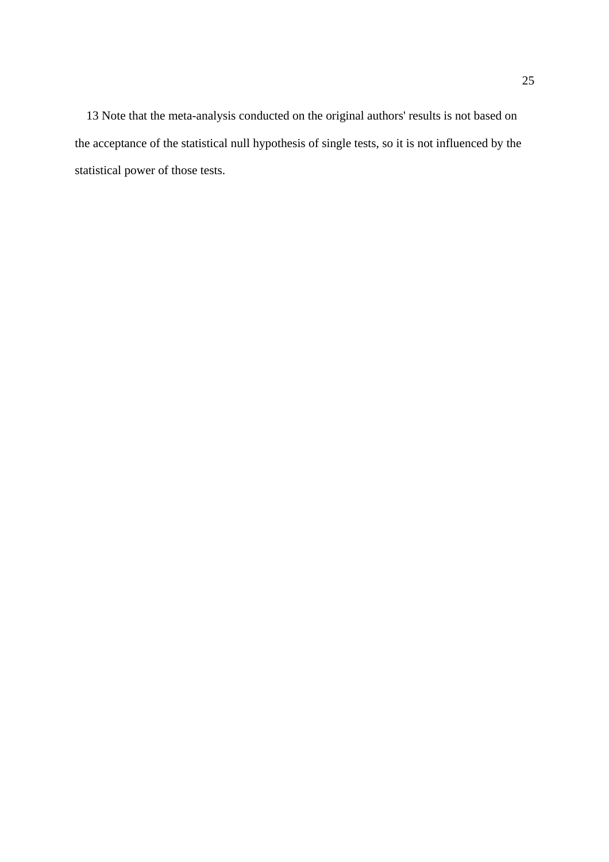13 Note that the meta-analysis conducted on the original authors' results is not based on the acceptance of the statistical null hypothesis of single tests, so it is not influenced by the statistical power of those tests.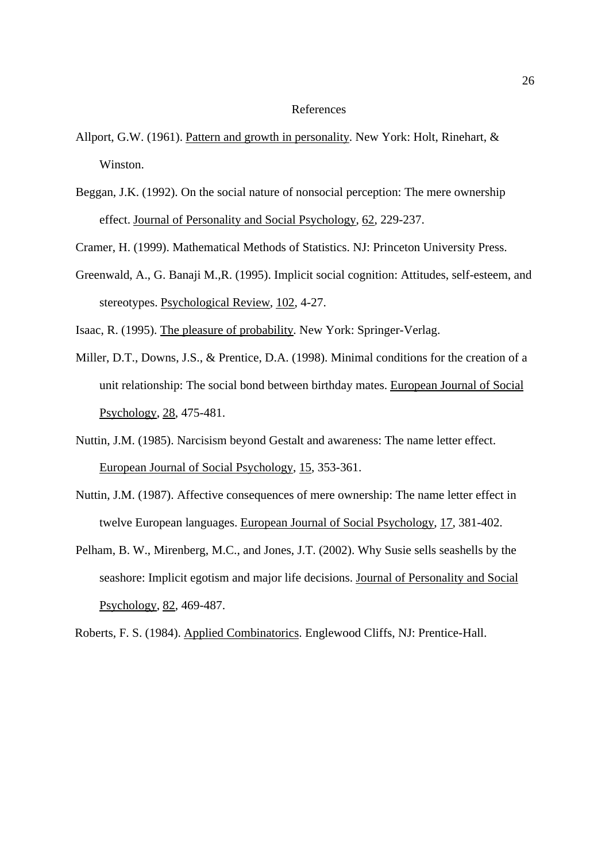#### References

- Allport, G.W. (1961). Pattern and growth in personality. New York: Holt, Rinehart, & Winston.
- Beggan, J.K. (1992). On the social nature of nonsocial perception: The mere ownership effect. Journal of Personality and Social Psychology, 62, 229-237.

Cramer, H. (1999). Mathematical Methods of Statistics. NJ: Princeton University Press.

Greenwald, A., G. Banaji M.,R. (1995). Implicit social cognition: Attitudes, self-esteem, and stereotypes. Psychological Review, 102, 4-27.

Isaac, R. (1995). The pleasure of probability. New York: Springer-Verlag.

- Miller, D.T., Downs, J.S., & Prentice, D.A. (1998). Minimal conditions for the creation of a unit relationship: The social bond between birthday mates. European Journal of Social Psychology, 28, 475-481.
- Nuttin, J.M. (1985). Narcisism beyond Gestalt and awareness: The name letter effect. European Journal of Social Psychology, 15, 353-361.
- Nuttin, J.M. (1987). Affective consequences of mere ownership: The name letter effect in twelve European languages. European Journal of Social Psychology, 17, 381-402.
- Pelham, B. W., Mirenberg, M.C., and Jones, J.T. (2002). Why Susie sells seashells by the seashore: Implicit egotism and major life decisions. Journal of Personality and Social Psychology, 82, 469-487.

Roberts, F. S. (1984). Applied Combinatorics. Englewood Cliffs, NJ: Prentice-Hall.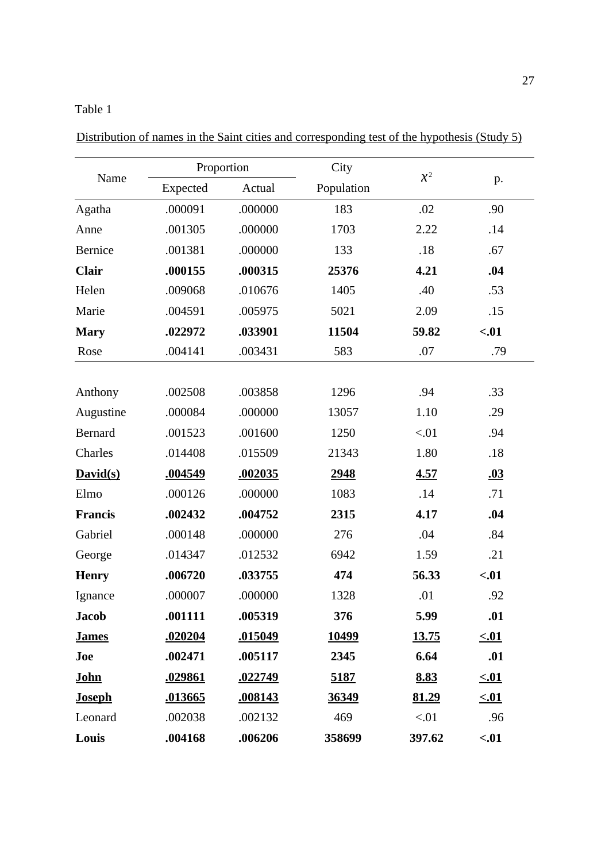|                | Proportion         |                | City         |              |            |  |
|----------------|--------------------|----------------|--------------|--------------|------------|--|
| Name           | Expected<br>Actual |                | Population   | $\chi^2$     | p.         |  |
| Agatha         | .000091            | .000000        | 183          | .02          | .90        |  |
| Anne           | .001305            | .000000        | 1703         | 2.22         | .14        |  |
| Bernice        | .001381            | .000000        | 133          | .18          | .67        |  |
| Clair          | .000155            | .000315        | 25376        | 4.21         | .04        |  |
| Helen          | .009068            | .010676        | 1405         | .40          | .53        |  |
| Marie          | .004591            | .005975        | 5021         | 2.09         | .15        |  |
| <b>Mary</b>    | .022972            | .033901        | 11504        | 59.82        | < 01       |  |
| Rose           | .004141            | .003431        | 583          | .07          | .79        |  |
|                |                    |                |              |              |            |  |
| Anthony        | .002508            | .003858        | 1296         | .94          | .33        |  |
| Augustine      | .000084            | .000000        | 13057        | 1.10         | .29        |  |
| <b>Bernard</b> | .001523            | .001600        | 1250         | < 01         | .94        |  |
| Charles        | .014408            | .015509        | 21343        | 1.80         | .18        |  |
| David(s)       | .004549            | .002035        | 2948         | 4.57         | <u>.03</u> |  |
| Elmo           | .000126            | .000000        | 1083         | .14          | .71        |  |
| <b>Francis</b> | .002432            | .004752        | 2315         | 4.17         | .04        |  |
| Gabriel        | .000148            | .000000        | 276          | .04          | .84        |  |
| George         | .014347            | .012532        | 6942         | 1.59         | .21        |  |
| <b>Henry</b>   | .006720            | .033755        | 474          | 56.33        | < 01       |  |
| Ignance        | .000007            | .000000        | 1328         | .01          | .92        |  |
| <b>Jacob</b>   | .001111            | .005319        | 376          | 5.99         | .01        |  |
| <b>James</b>   | .020204            | .015049        | <u>10499</u> | <u>13.75</u> | $\leq 01$  |  |
| Joe            | .002471            | .005117        | 2345         | 6.64         | .01        |  |
| John           | .029861            | .022749        | 5187         | <u>8.83</u>  | $\leq 01$  |  |
| <b>Joseph</b>  | <u>.013665</u>     | <u>.008143</u> | 36349        | 81.29        | $\leq 01$  |  |
| Leonard        | .002038            | .002132        | 469          | < 01         | .96        |  |
| Louis          | .004168            | .006206        | 358699       | 397.62       | $-.01$     |  |

Distribution of names in the Saint cities and corresponding test of the hypothesis (Study 5)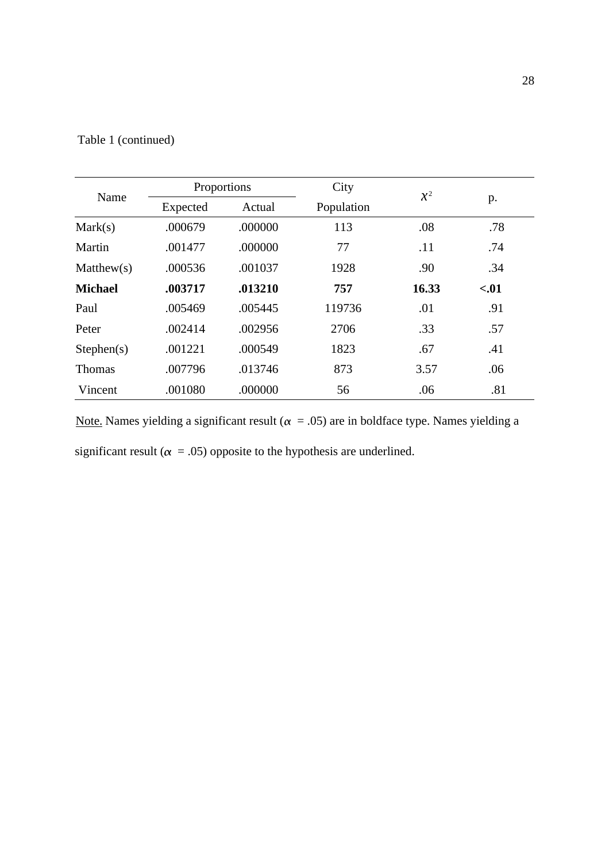|                  | Proportions |         | City       | $\chi^2$ |        |  |
|------------------|-------------|---------|------------|----------|--------|--|
| Name             | Expected    | Actual  | Population |          | p.     |  |
| Mark(s)          | .000679     | .000000 | 113        | .08      | .78    |  |
| Martin           | .001477     | .000000 | 77         | .11      | .74    |  |
| $M$ atthew $(s)$ | .000536     | .001037 | 1928       | .90      | .34    |  |
| <b>Michael</b>   | .003717     | .013210 | 757        | 16.33    | < 0.01 |  |
| Paul             | .005469     | .005445 | 119736     | .01      | .91    |  |
| Peter            | .002414     | .002956 | 2706       | .33      | .57    |  |
| Stephen(s)       | .001221     | .000549 | 1823       | .67      | .41    |  |
| <b>Thomas</b>    | .007796     | .013746 | 873        | 3.57     | .06    |  |
| Vincent          | .001080     | .000000 | 56         | .06      | .81    |  |

Table 1 (continued)

Note. Names yielding a significant result ( $\alpha = .05$ ) are in boldface type. Names yielding a significant result ( $\alpha = .05$ ) opposite to the hypothesis are underlined.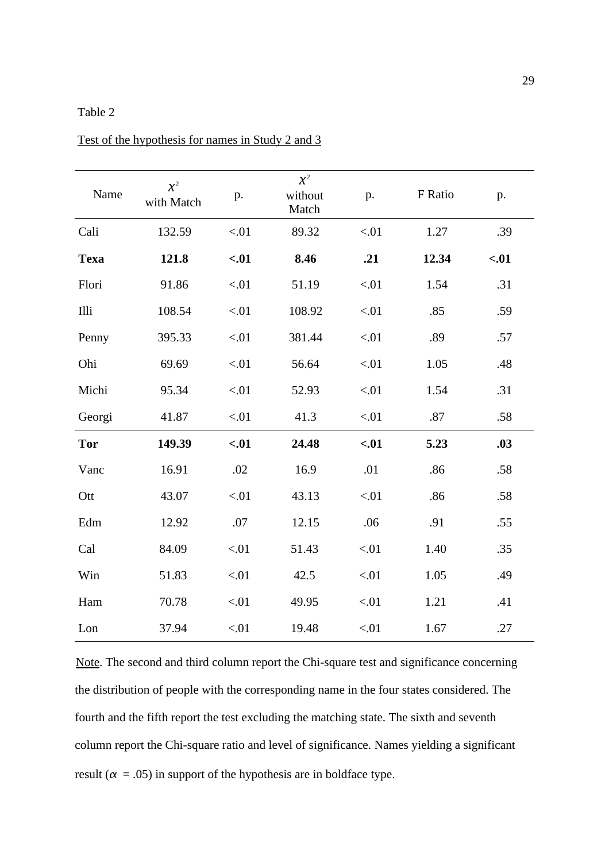| Name        | $\chi^2$<br>with Match | p.     | $\chi^2$<br>without<br>Match | p.    | F Ratio | p.     |
|-------------|------------------------|--------|------------------------------|-------|---------|--------|
| Cali        | 132.59                 | < 01   | 89.32                        | < 01  | 1.27    | .39    |
| <b>Texa</b> | 121.8                  | $-.01$ | 8.46                         | .21   | 12.34   | $-.01$ |
| Flori       | 91.86                  | < 01   | 51.19                        | < 01  | 1.54    | .31    |
| Illi        | 108.54                 | < 01   | 108.92                       | < 01  | .85     | .59    |
| Penny       | 395.33                 | < 01   | 381.44                       | < 01  | .89     | .57    |
| Ohi         | 69.69                  | < 01   | 56.64                        | < 01  | 1.05    | .48    |
| Michi       | 95.34                  | < 01   | 52.93                        | < 01  | 1.54    | .31    |
| Georgi      | 41.87                  | < 01   | 41.3                         | < 01  | .87     | .58    |
| <b>Tor</b>  | 149.39                 | $-.01$ | 24.48                        | < .01 | 5.23    | .03    |
| Vanc        | 16.91                  | .02    | 16.9                         | .01   | .86     | .58    |
| Ott         | 43.07                  | < 01   | 43.13                        | < 01  | .86     | .58    |
| Edm         | 12.92                  | .07    | 12.15                        | .06   | .91     | .55    |
| Cal         | 84.09                  | < 01   | 51.43                        | < 01  | 1.40    | .35    |
| Win         | 51.83                  | < 01   | 42.5                         | < 01  | 1.05    | .49    |
| Ham         | 70.78                  | < 01   | 49.95                        | < 01  | 1.21    | .41    |
| Lon         | 37.94                  | < 01   | 19.48                        | < 01  | 1.67    | .27    |

Test of the hypothesis for names in Study 2 and 3

Note. The second and third column report the Chi-square test and significance concerning the distribution of people with the corresponding name in the four states considered. The fourth and the fifth report the test excluding the matching state. The sixth and seventh column report the Chi-square ratio and level of significance. Names yielding a significant result ( $\alpha = .05$ ) in support of the hypothesis are in boldface type.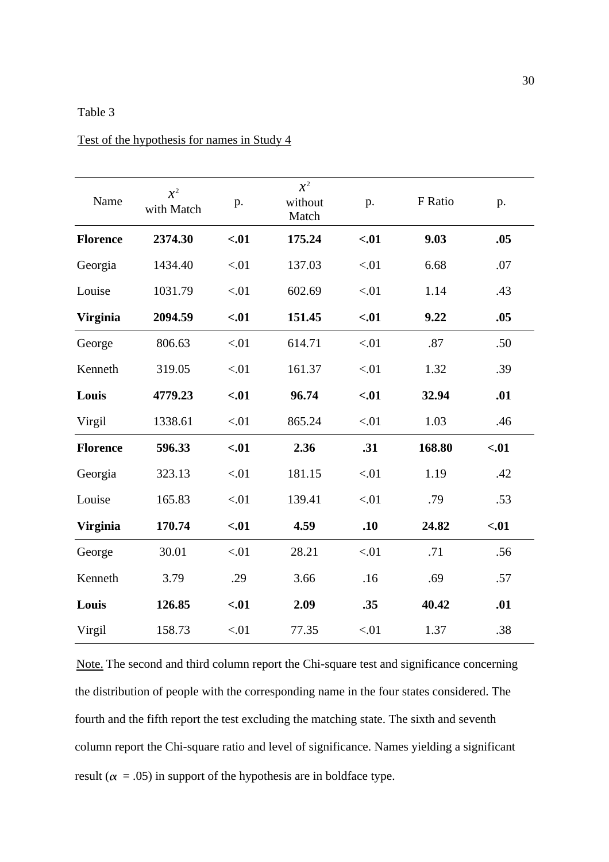| Name            | $\chi^2$<br>with Match | p.     | $\chi^2$<br>without<br>Match | p.     | F Ratio | p.     |
|-----------------|------------------------|--------|------------------------------|--------|---------|--------|
| <b>Florence</b> | 2374.30                | < 01   | 175.24                       | $-.01$ | 9.03    | .05    |
| Georgia         | 1434.40                | < 01   | 137.03                       | < 01   | 6.68    | .07    |
| Louise          | 1031.79                | < 01   | 602.69                       | < 01   | 1.14    | .43    |
| <b>Virginia</b> | 2094.59                | $-.01$ | 151.45                       | $-.01$ | 9.22    | .05    |
| George          | 806.63                 | < 01   | 614.71                       | < 01   | .87     | .50    |
| Kenneth         | 319.05                 | < 01   | 161.37                       | < 01   | 1.32    | .39    |
| Louis           | 4779.23                | <01    | 96.74                        | < .01  | 32.94   | .01    |
| Virgil          | 1338.61                | < 01   | 865.24                       | < 01   | 1.03    | .46    |
| <b>Florence</b> | 596.33                 | <01    | 2.36                         | .31    | 168.80  | < 01   |
| Georgia         | 323.13                 | < 01   | 181.15                       | < 01   | 1.19    | .42    |
| Louise          | 165.83                 | < 01   | 139.41                       | < 01   | .79     | .53    |
| <b>Virginia</b> | 170.74                 | <01    | 4.59                         | .10    | 24.82   | $-.01$ |
| George          | 30.01                  | < 01   | 28.21                        | < 01   | .71     | .56    |
| Kenneth         | 3.79                   | .29    | 3.66                         | .16    | .69     | .57    |
| Louis           | 126.85                 | < 01   | 2.09                         | .35    | 40.42   | .01    |
| Virgil          | 158.73                 | < 01   | 77.35                        | < 01   | 1.37    | .38    |

#### Test of the hypothesis for names in Study 4

Note. The second and third column report the Chi-square test and significance concerning the distribution of people with the corresponding name in the four states considered. The fourth and the fifth report the test excluding the matching state. The sixth and seventh column report the Chi-square ratio and level of significance. Names yielding a significant result ( $\alpha = .05$ ) in support of the hypothesis are in boldface type.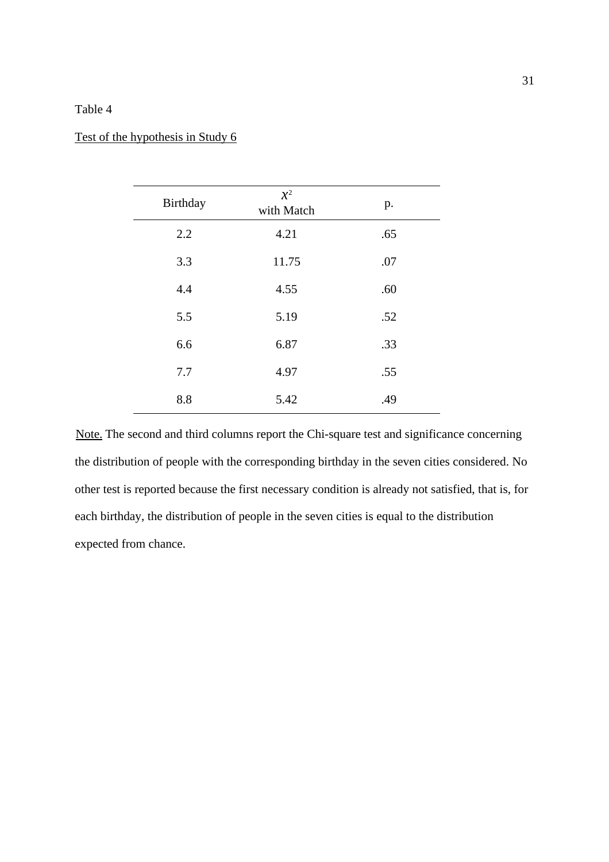## Test of the hypothesis in Study 6

| <b>Birthday</b> | $\chi^2$<br>with Match | p.  |
|-----------------|------------------------|-----|
| 2.2             | 4.21                   | .65 |
| 3.3             | 11.75                  | .07 |
| 4.4             | 4.55                   | .60 |
| 5.5             | 5.19                   | .52 |
| 6.6             | 6.87                   | .33 |
| 7.7             | 4.97                   | .55 |
| 8.8             | 5.42                   | .49 |

Note. The second and third columns report the Chi-square test and significance concerning the distribution of people with the corresponding birthday in the seven cities considered. No other test is reported because the first necessary condition is already not satisfied, that is, for each birthday, the distribution of people in the seven cities is equal to the distribution expected from chance.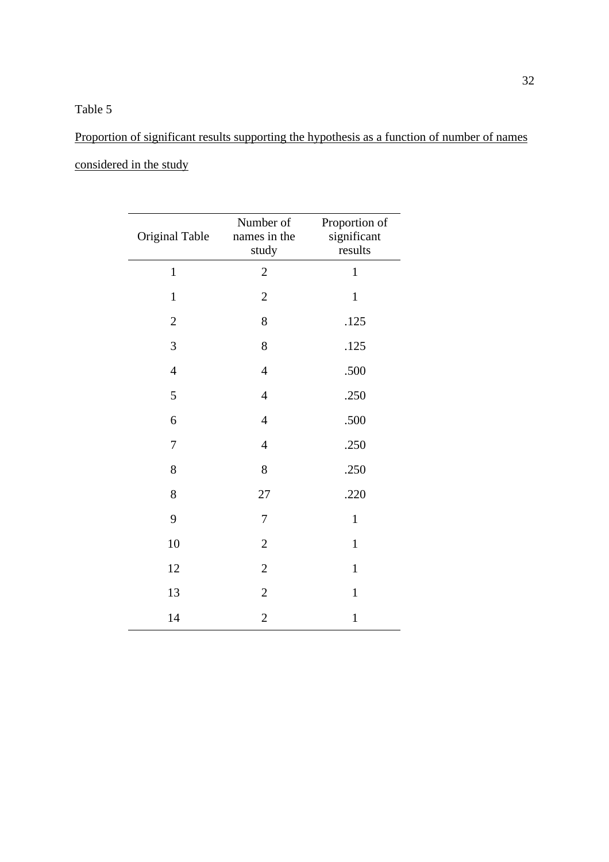Proportion of significant results supporting the hypothesis as a function of number of names considered in the study

| Original Table | Number of<br>names in the<br>study | Proportion of<br>significant<br>results |
|----------------|------------------------------------|-----------------------------------------|
| $\mathbf{1}$   | $\overline{2}$                     | $\mathbf{1}$                            |
| $\mathbf{1}$   | $\overline{2}$                     | $\mathbf 1$                             |
| $\overline{2}$ | 8                                  | .125                                    |
| 3              | 8                                  | .125                                    |
| $\overline{4}$ | $\overline{4}$                     | .500                                    |
| 5              | $\overline{4}$                     | .250                                    |
| 6              | $\overline{4}$                     | .500                                    |
| 7              | $\overline{4}$                     | .250                                    |
| 8              | 8                                  | .250                                    |
| 8              | 27                                 | .220                                    |
| 9              | $\boldsymbol{7}$                   | $\mathbf{1}$                            |
| 10             | $\overline{2}$                     | $\mathbf{1}$                            |
| 12             | $\overline{2}$                     | $\mathbf{1}$                            |
| 13             | $\overline{2}$                     | $\mathbf{1}$                            |
| 14             | $\overline{2}$                     | $\mathbf{1}$                            |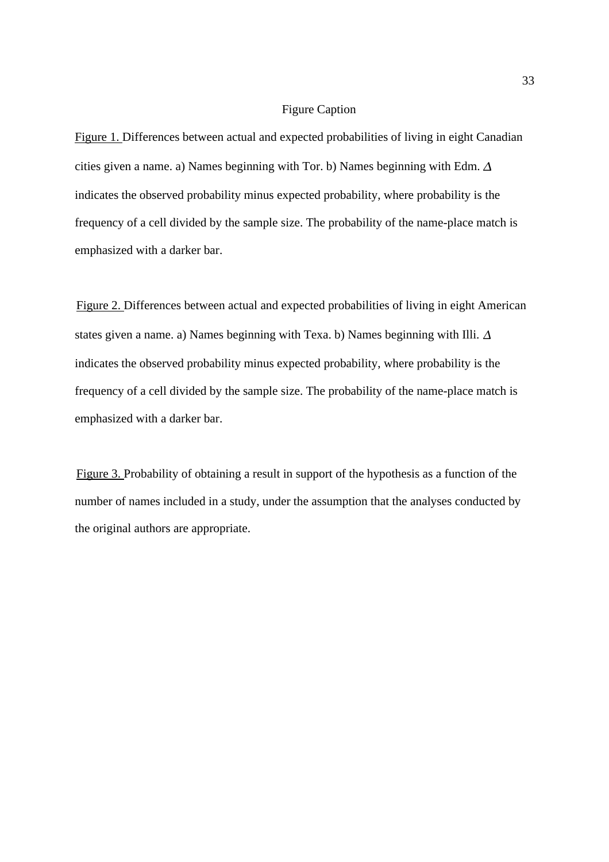#### Figure Caption

Figure 1. Differences between actual and expected probabilities of living in eight Canadian cities given a name. a) Names beginning with Tor. b) Names beginning with Edm.  $\Delta$ indicates the observed probability minus expected probability, where probability is the frequency of a cell divided by the sample size. The probability of the name-place match is emphasized with a darker bar.

Figure 2. Differences between actual and expected probabilities of living in eight American states given a name. a) Names beginning with Texa. b) Names beginning with Illi.  $\Delta$ indicates the observed probability minus expected probability, where probability is the frequency of a cell divided by the sample size. The probability of the name-place match is emphasized with a darker bar.

Figure 3. Probability of obtaining a result in support of the hypothesis as a function of the number of names included in a study, under the assumption that the analyses conducted by the original authors are appropriate.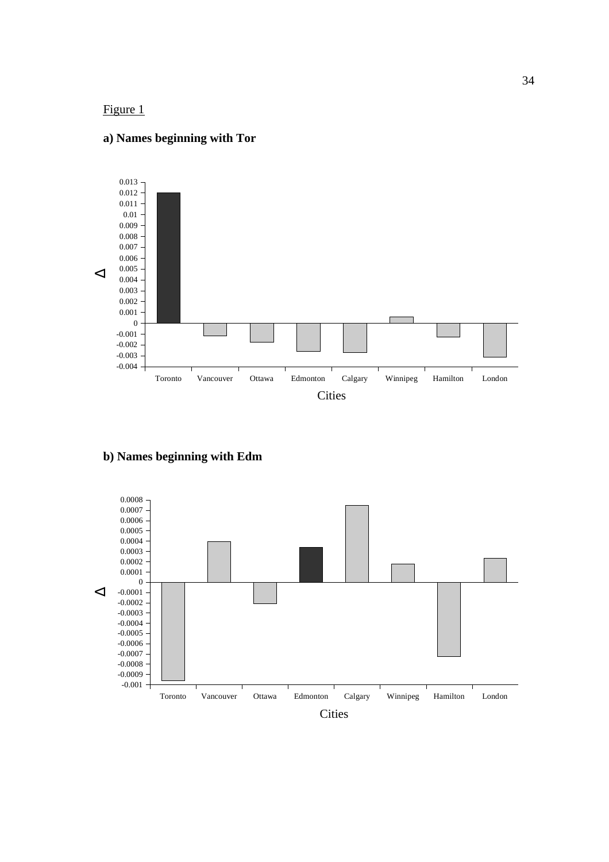## Figure 1



# **a) Names beginning with Tor**

# **b) Names beginning with Edm**

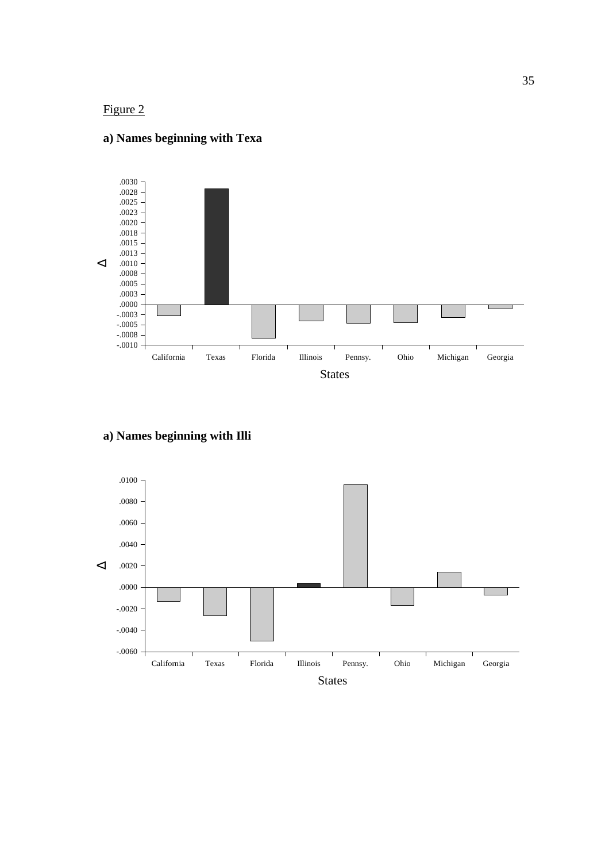# Figure 2



# **a) Names beginning with Texa**

# **a) Names beginning with Illi**